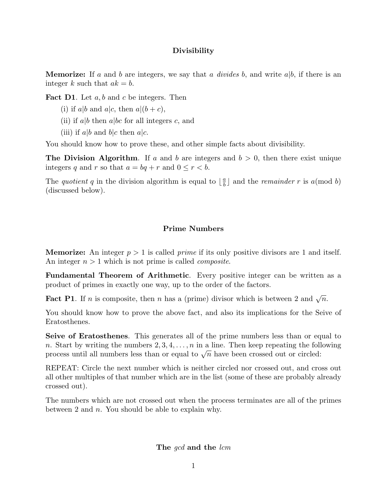## **Divisibility**

**Memorize:** If *a* and *b* are integers, we say that *a* divides *b*, and write *a*|*b*, if there is an integer *k* such that  $ak = b$ .

**Fact D1**. Let *a, b* and *c* be integers. Then

- (i) if  $a|b$  and  $a|c$ , then  $a|(b+c)$ ,
- (ii) if *a*|*b* then *a*|*bc* for all integers *c*, and
- (iii) if  $a|b$  and  $b|c$  then  $a|c$ .

You should know how to prove these, and other simple facts about divisibility.

**The Division Algorithm.** If *a* and *b* are integers and  $b > 0$ , then there exist unique integers *q* and *r* so that  $a = bq + r$  and  $0 \leq r \leq b$ .

The *quotient q* in the division algorithm is equal to  $\left\lfloor \frac{a}{b} \right\rfloor$  and the *remainder r* is *a*(mod *b*) (discussed below).

## **Prime Numbers**

**Memorize:** An integer  $p > 1$  is called *prime* if its only positive divisors are 1 and itself. An integer  $n > 1$  which is not prime is called *composite*.

**Fundamental Theorem of Arithmetic**. Every positive integer can be written as a product of primes in exactly one way, up to the order of the factors.

**Fact P1**. If *n* is composite, then *n* has a (prime) divisor which is between 2 and  $\sqrt{n}$ .

You should know how to prove the above fact, and also its implications for the Seive of Eratosthenes.

**Seive of Eratosthenes**. This generates all of the prime numbers less than or equal to *n*. Start by writing the numbers 2*,* 3*,* 4*,...,n* in a line. Then keep repeating the following process until all numbers less than or equal to  $\sqrt{n}$  have been crossed out or circled:

REPEAT: Circle the next number which is neither circled nor crossed out, and cross out all other multiples of that number which are in the list (some of these are probably already crossed out).

The numbers which are not crossed out when the process terminates are all of the primes between 2 and *n*. You should be able to explain why.

**The** gcd **and the** lcm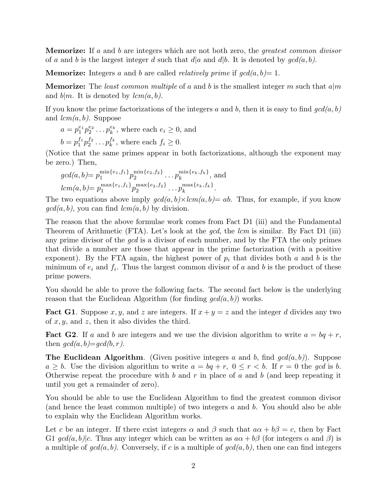**Memorize:** If *a* and *b* are integers which are not both zero, the greatest common divisor of *a* and *b* is the largest integer *d* such that  $d|a$  and  $d|b$ . It is denoted by  $gcd(a, b)$ .

**Memorize:** Integers a and b are called *relatively prime* if  $gcd(a, b) = 1$ .

**Memorize:** The least common multiple of *a* and *b* is the smallest integer *m* such that *a*|*m* and  $b|m$ . It is denoted by  $lcm(a, b)$ .

If you know the prime factorizations of the integers  $a$  and  $b$ , then it is easy to find  $gcd(a, b)$ and lcm(*a, b*). Suppose

$$
a = p_1^{e_1} p_2^{e_2} \dots p_k^{e_k}, \text{ where each } e_i \ge 0, \text{ and}
$$
  

$$
b = p_1^{f_1} p_2^{f_2} \dots p_k^{f_k}, \text{ where each } f_i \ge 0.
$$

(Notice that the same primes appear in both factorizations, although the exponent may be zero.) Then,

$$
gcd(a, b) = p_1^{\min\{e_1, f_1\}} p_2^{\min\{e_2, f_2\}} \dots p_k^{\min\{e_k, f_k\}},
$$
 and  

$$
lcm(a, b) = p_1^{\max\{e_1, f_1\}} p_2^{\max\{e_2, f_2\}} \dots p_k^{\max\{e_k, f_k\}}.
$$

The two equations above imply  $gcd(a, b) \times lcm(a, b) = ab$ . Thus, for example, if you know  $\gcd(a, b)$ , you can find  $\operatorname{lcm}(a, b)$  by division.

The reason that the above formulae work comes from Fact D1 (iii) and the Fundamental Theorem of Arithmetic (FTA). Let's look at the *gcd*, the *lcm* is similar. By Fact D1 (iii) any prime divisor of the gcd is a divisor of each number, and by the FTA the only primes that divide a number are those that appear in the prime factorization (with a positive exponent). By the FTA again, the highest power of  $p_i$  that divides both  $a$  and  $b$  is the minimum of  $e_i$  and  $f_i$ . Thus the largest common divisor of *a* and *b* is the product of these prime powers.

You should be able to prove the following facts. The second fact below is the underlying reason that the Euclidean Algorithm (for finding  $gcd(a, b)$ ) works.

**Fact G1**. Suppose x, y, and z are integers. If  $x + y = z$  and the integer d divides any two of *x, y*, and *z*, then it also divides the third.

**Fact G2**. If *a* and *b* are integers and we use the division algorithm to write  $a = bq + r$ , then  $gcd(a, b) = gcd(b, r)$ .

**The Euclidean Algorithm**. (Given positive integers *a* and *b*, find gcd(*a, b*)). Suppose  $a \geq b$ . Use the division algorithm to write  $a = bq + r$ ,  $0 \leq r < b$ . If  $r = 0$  the gcd is *b*. Otherwise repeat the procedure with *b* and *r* in place of *a* and *b* (and keep repeating it until you get a remainder of zero).

You should be able to use the Euclidean Algorithm to find the greatest common divisor (and hence the least common multiple) of two integers *a* and *b*. You should also be able to explain why the Euclidean Algorithm works.

Let *c* be an integer. If there exist integers  $\alpha$  and  $\beta$  such that  $a\alpha + b\beta = c$ , then by Fact G1  $gcd(a, b) | c$ . Thus any integer which can be written as  $a\alpha + b\beta$  (for integers  $\alpha$  and  $\beta$ ) is a multiple of  $gcd(a, b)$ . Conversely, if *c* is a multiple of  $gcd(a, b)$ , then one can find integers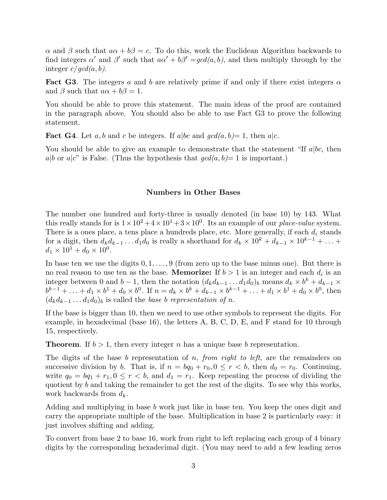*α* and *β* such that  $a\alpha + b\beta = c$ . To do this, work the Euclidean Algorithm backwards to find integers  $\alpha'$  and  $\beta'$  such that  $a\alpha' + b\beta' = qcd(a, b)$ , and then multiply through by the integer  $c/gcd(a, b)$ .

**Fact G3**. The integers *a* and *b* are relatively prime if and only if there exist integers *α* and  $\beta$  such that  $a\alpha + b\beta = 1$ .

You should be able to prove this statement. The main ideas of the proof are contained in the paragraph above. You should also be able to use Fact G3 to prove the following statement.

**Fact G4**. Let *a, b* and *c* be integers. If *a*|*bc* and  $gcd(a, b) = 1$ , then *a*|*c*.

You should be able to give an example to demonstrate that the statement "If *a*|*bc*, then  $a|b$  or  $a|c$ " is False. (Thus the hypothesis that  $gcd(a, b)=1$  is important.)

## **Numbers in Other Bases**

The number one hundred and forty-three is usually denoted (in base 10) by 143. What this really stands for is  $1 \times 10^2 + 4 \times 10^1 + 3 \times 10^0$ . Its an example of our *place-value* system. There is a ones place, a tens place a hundreds place, etc. More generally, if each *d<sup>i</sup>* stands for a digit, then  $d_k d_{k-1} \ldots d_1 d_0$  is really a shorthand for  $d_k \times 10^k + d_{k-1} \times 10^{k-1} + \ldots$  $d_1 \times 10^1 + d_0 \times 10^0$ .

In base ten we use the digits 0*,* 1*,...,* 9 (from zero up to the base minus one). But there is no real reason to use ten as the base. **Memorize:** If  $b > 1$  is an integer and each  $d_i$  is an integer between 0 and *b* − 1, then the notation  $(d_k d_{k-1} \ldots d_1 d_0)_b$  means  $d_k \times b^k + d_{k-1} \times$  $b^{k-1} + \ldots + d_1 \times b^1 + d_0 \times b^0$ . If  $n = d_k \times b^k + d_{k-1} \times b^{k-1} + \ldots + d_1 \times b^1 + d_0 \times b^0$ , then  $(d_k d_{k-1} \ldots d_1 d_0)_b$  is called the *base b representation of n*.

If the base is bigger than 10, then we need to use other symbols to represent the digits. For example, in hexadecimal (base 16), the letters A, B, C, D, E, and F stand for 10 through 15, respectively.

**Theorem**. If  $b > 1$ , then every integer *n* has a unique base *b* representation.

The digits of the base *b* representation of *n*, from right to left, are the remainders on successive division by *b*. That is, if  $n = bq_0 + r_0, 0 \le r < b$ , then  $d_0 = r_0$ . Continuing, write  $q_0 = bq_1 + r_1, 0 \le r < b$ , and  $d_1 = r_1$ . Keep repeating the process of dividing the quotient by *b* and taking the remainder to get the rest of the digits. To see why this works, work backwards from *dk*.

Adding and multiplying in base *b* work just like in base ten. You keep the ones digit and carry the appropriate multiple of the base. Multiplication in base 2 is particularly easy: it just involves shifting and adding.

To convert from base 2 to base 16, work from right to left replacing each group of 4 binary digits by the corresponding hexadecimal digit. (You may need to add a few leading zeros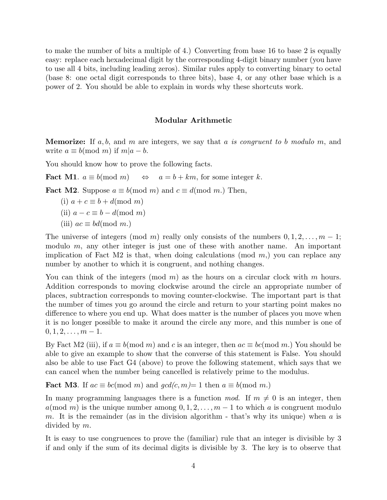to make the number of bits a multiple of 4.) Converting from base 16 to base 2 is equally easy: replace each hexadecimal digit by the corresponding 4-digit binary number (you have to use all 4 bits, including leading zeros). Similar rules apply to converting binary to octal (base 8: one octal digit corresponds to three bits), base 4, or any other base which is a power of 2. You should be able to explain in words why these shortcuts work.

## **Modular Arithmetic**

**Memorize:** If *a, b*, and *m* are integers, we say that *a* is congruent to *b* modulo *m*, and write  $a \equiv b \pmod{m}$  if  $m|a-b$ .

You should know how to prove the following facts.

**Fact M1**.  $a \equiv b \pmod{m} \Leftrightarrow a = b + km$ , for some integer *k*.

**Fact M2**. Suppose  $a \equiv b \pmod{m}$  and  $c \equiv d \pmod{m}$ . Then,

$$
(i) a + c \equiv b + d \pmod{m}
$$

(ii) 
$$
a - c \equiv b - d \pmod{m}
$$

 $(iii)$   $ac \equiv bd \pmod{m}$ .

The universe of integers (mod *m*) really only consists of the numbers  $0, 1, 2, \ldots, m - 1$ ; modulo *m*, any other integer is just one of these with another name. An important implication of Fact M2 is that, when doing calculations (mod *m*,) you can replace any number by another to which it is congruent, and nothing changes.

You can think of the integers (mod *m*) as the hours on a circular clock with *m* hours. Addition corresponds to moving clockwise around the circle an appropriate number of places, subtraction corresponds to moving counter-clockwise. The important part is that the number of times you go around the circle and return to your starting point makes no difference to where you end up. What does matter is the number of places you move when it is no longer possible to make it around the circle any more, and this number is one of  $0, 1, 2, \ldots, m-1.$ 

By Fact M2 (iii), if  $a \equiv b \pmod{m}$  and *c* is an integer, then  $ac \equiv bc \pmod{m}$ . You should be able to give an example to show that the converse of this statement is False. You should also be able to use Fact G4 (above) to prove the following statement, which says that we can cancel when the number being cancelled is relatively prime to the modulus.

**Fact M3**. If  $ac \equiv bc \pmod{m}$  and  $gcd(c, m) = 1$  then  $a \equiv b \pmod{m}$ .

In many programming languages there is a function mod. If  $m \neq 0$  is an integer, then  $a(\text{mod } m)$  is the unique number among  $0, 1, 2, \ldots, m-1$  to which *a* is congruent modulo *m*. It is the remainder (as in the division algorithm - that's why its unique) when *a* is divided by *m*.

It is easy to use congruences to prove the (familiar) rule that an integer is divisible by 3 if and only if the sum of its decimal digits is divisible by 3. The key is to observe that